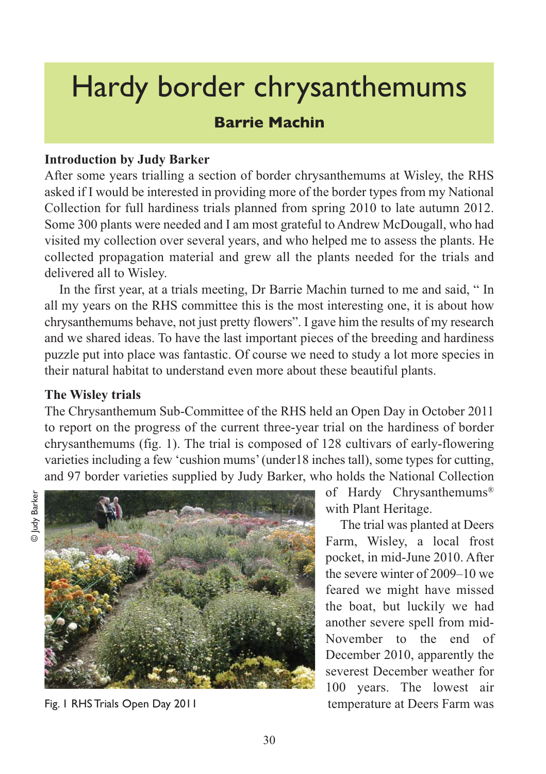# Hardy border chrysanthemums

# **Barrie Machin**

## **Introduction by Judy Barker**

After some years trialling a section of border chrysanthemums at Wisley, the RHS asked if I would be interested in providing more of the border types from my National Collection for full hardiness trials planned from spring 2010 to late autumn 2012. Some 300 plants were needed and I am most grateful to Andrew McDougall, who had visited my collection over several years, and who helped me to assess the plants. He collected propagation material and grew all the plants needed for the trials and delivered all to Wisley.

In the first year, at a trials meeting, Dr Barrie Machin turned to me and said, " In all my years on the RHS committee this is the most interesting one, it is about how chrysanthemums behave, not just pretty flowers". I gave him the results of my research and we shared ideas. To have the last important pieces of the breeding and hardiness puzzle put into place was fantastic. Of course we need to study a lot more species in their natural habitat to understand even more about these beautiful plants.

#### **The Wisley trials**

The Chrysanthemum Sub-Committee of the RHS held an Open Day in October 2011 to report on the progress of the current three-year trial on the hardiness of border chrysanthemums (fig. 1). The trial is composed of 128 cultivars of early-flowering varieties including a few 'cushion mums' (under18 inches tall), some types for cutting, and 97 border varieties supplied by Judy Barker, who holds the National Collection



Fig. 1 RHS Trials Open Day 2011

of Hardy Chrysanthemums® with Plant Heritage.

The trial was planted at Deers Farm, Wisley, a local frost pocket, in mid-June 2010. After the severe winter of 2009–10 we feared we might have missed the boat, but luckily we had another severe spell from mid-November to the end of December 2010, apparently the severest December weather for 100 years. The lowest air temperature at Deers Farm was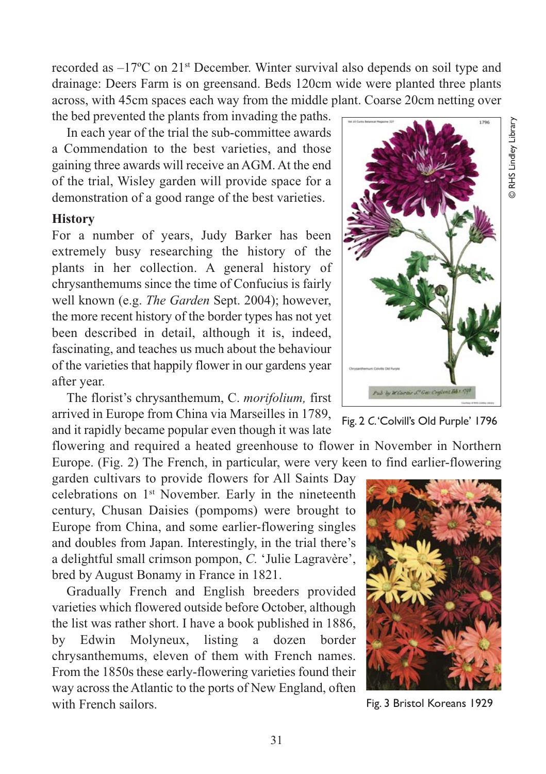recorded as  $-17^{\circ}$ C on 21<sup>st</sup> December. Winter survival also depends on soil type and drainage: Deers Farm is on greensand. Beds 120cm wide were planted three plants across, with 45cm spaces each way from the middle plant. Coarse 20cm netting over the bed prevented the plants from invading the paths.

In each year of the trial the sub-committee awards a Commendation to the best varieties, and those gaining three awards will receive an AGM. At the end of the trial, Wisley garden will provide space for a demonstration of a good range of the best varieties.

#### **History**

For a number of years, Judy Barker has been extremely busy researching the history of the plants in her collection. A general history of chrysanthemums since the time of Confucius is fairly well known (e.g. *The Garden* Sept. 2004); however, the more recent history of the border types has not yet been described in detail, although it is, indeed, fascinating, and teaches us much about the behaviour of the varieties that happily flower in our gardens year after year.

The florist's chrysanthemum, C. *morifolium,* first arrived in Europe from China via Marseilles in 1789, and it rapidly became popular even though it was late

flowering and required a heated greenhouse to flower in November in Northern Europe. (Fig. 2) The French, in particular, were very keen to find earlier-flowering

garden cultivars to provide flowers for All Saints Day celebrations on 1st November. Early in the nineteenth century, Chusan Daisies (pompoms) were brought to Europe from China, and some earlier-flowering singles and doubles from Japan. Interestingly, in the trial there's a delightful small crimson pompon, *C.* 'Julie Lagravère', bred by August Bonamy in France in 1821.

Gradually French and English breeders provided varieties which flowered outside before October, although the list was rather short. I have a book published in 1886, by Edwin Molyneux, listing a dozen border chrysanthemums, eleven of them with French names. From the 1850s these early-flowering varieties found their way across the Atlantic to the ports of New England, often with French sailors.







Fig. 3 Bristol Koreans 1929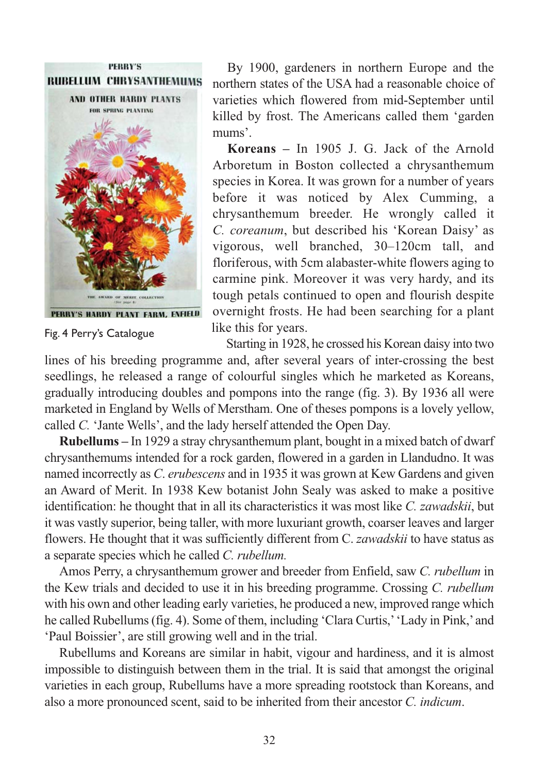

Fig. 4 Perry's Catalogue

By 1900, gardeners in northern Europe and the northern states of the USA had a reasonable choice of varieties which flowered from mid-September until killed by frost. The Americans called them 'garden mums'.

**Koreans –** In 1905 J. G. Jack of the Arnold Arboretum in Boston collected a chrysanthemum species in Korea. It was grown for a number of years before it was noticed by Alex Cumming, a chrysanthemum breeder. He wrongly called it *C. coreanum*, but described his 'Korean Daisy' as vigorous, well branched, 30–120cm tall, and floriferous, with 5cm alabaster-white flowers aging to carmine pink. Moreover it was very hardy, and its tough petals continued to open and flourish despite overnight frosts. He had been searching for a plant like this for years.

Starting in 1928, he crossed his Korean daisy into two

lines of his breeding programme and, after several years of inter-crossing the best seedlings, he released a range of colourful singles which he marketed as Koreans, gradually introducing doubles and pompons into the range (fig. 3). By 1936 all were marketed in England by Wells of Merstham. One of theses pompons is a lovely yellow, called *C.* 'Jante Wells', and the lady herself attended the Open Day.

**Rubellums –** In 1929 a stray chrysanthemum plant, bought in a mixed batch of dwarf chrysanthemums intended for a rock garden, flowered in a garden in Llandudno. It was named incorrectly as *C*. *erubescens* and in 1935 it was grown at Kew Gardens and given an Award of Merit. In 1938 Kew botanist John Sealy was asked to make a positive identification: he thought that in all its characteristics it was most like *C. zawadskii*, but it was vastly superior, being taller, with more luxuriant growth, coarser leaves and larger flowers. He thought that it was sufficiently different from C. *zawadskii* to have status as a separate species which he called *C. rubellum.*

Amos Perry, a chrysanthemum grower and breeder from Enfield, saw *C. rubellum* in the Kew trials and decided to use it in his breeding programme. Crossing *C. rubellum* with his own and other leading early varieties, he produced a new, improved range which he called Rubellums (fig. 4). Some of them, including 'Clara Curtis,' 'Lady in Pink,' and 'Paul Boissier', are still growing well and in the trial.

Rubellums and Koreans are similar in habit, vigour and hardiness, and it is almost impossible to distinguish between them in the trial. It is said that amongst the original varieties in each group, Rubellums have a more spreading rootstock than Koreans, and also a more pronounced scent, said to be inherited from their ancestor *C. indicum*.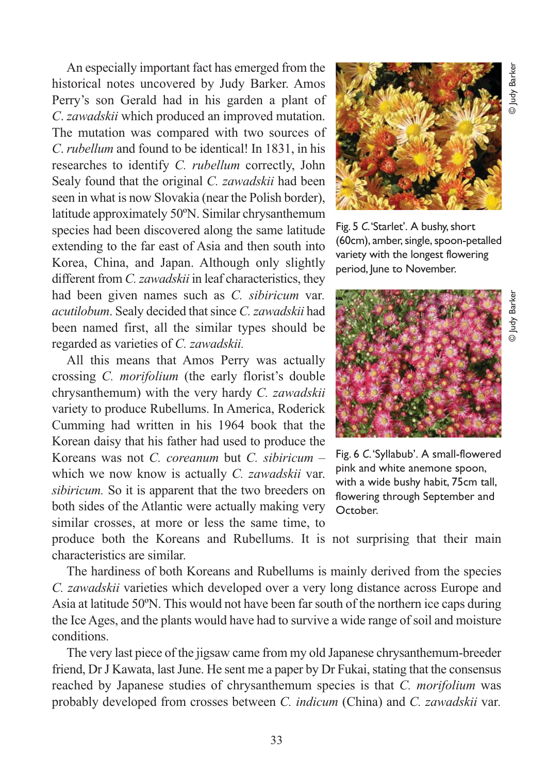An especially important fact has emerged from the historical notes uncovered by Judy Barker. Amos Perry's son Gerald had in his garden a plant of *C*. *zawadskii* which produced an improved mutation. The mutation was compared with two sources of *C*. *rubellum* and found to be identical! In 1831, in his researches to identify *C. rubellum* correctly, John Sealy found that the original *C. zawadskii* had been seen in what is now Slovakia (near the Polish border), latitude approximately 50ºN. Similar chrysanthemum species had been discovered along the same latitude extending to the far east of Asia and then south into Korea, China, and Japan. Although only slightly different from *C. zawadskii* in leaf characteristics, they had been given names such as *C. sibiricum* var*. acutilobum*. Sealy decided that since *C. zawadskii* had been named first, all the similar types should be regarded as varieties of *C. zawadskii.*

All this means that Amos Perry was actually crossing *C. morifolium* (the early florist's double chrysanthemum) with the very hardy *C. zawadskii* variety to produce Rubellums. In America, Roderick Cumming had written in his 1964 book that the Korean daisy that his father had used to produce the Koreans was not *C. coreanum* but *C. sibiricum* – which we now know is actually *C. zawadskii* var. *sibiricum.* So it is apparent that the two breeders on both sides of the Atlantic were actually making very similar crosses, at more or less the same time, to



Fig. 5 *C*. 'Starlet'. A bushy, short (60cm), amber, single, spoon-petalled variety with the longest flowering period, June to November.



Fig. 6 *C*. 'Syllabub'. A small-flowered pink and white anemone spoon, with a wide bushy habit, 75cm tall, flowering through September and October.

produce both the Koreans and Rubellums. It is not surprising that their main characteristics are similar.

The hardiness of both Koreans and Rubellums is mainly derived from the species *C. zawadskii* varieties which developed over a very long distance across Europe and Asia at latitude 50ºN. This would not have been far south of the northern ice caps during the Ice Ages, and the plants would have had to survive a wide range of soil and moisture conditions.

The very last piece of the jigsaw came from my old Japanese chrysanthemum-breeder friend, Dr J Kawata, last June. He sent me a paper by Dr Fukai, stating that the consensus reached by Japanese studies of chrysanthemum species is that *C. morifolium* was probably developed from crosses between *C. indicum* (China) and *C. zawadskii* var*.*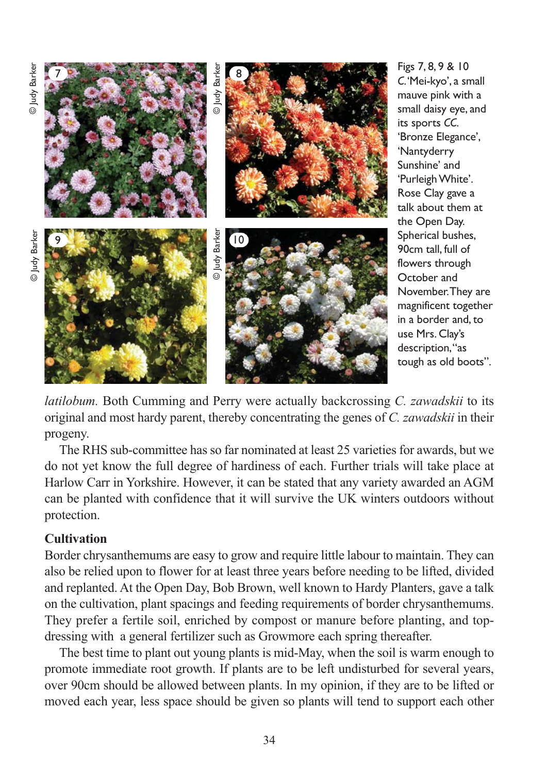

Figs 7, 8, 9 & 10 *C*. 'Mei-kyo', a small mauve pink with a small daisy eye, and its sports *CC*. 'Bronze Elegance', 'Nantyderry Sunshine' and 'Purleigh White'. Rose Clay gave a talk about them at the Open Day. Spherical bushes, 90cm tall, full of flowers through October and November. They are magnificent together in a border and, to use Mrs. Clay's description, "as tough as old boots".

*latilobum.* Both Cumming and Perry were actually backcrossing *C. zawadskii* to its original and most hardy parent, thereby concentrating the genes of *C. zawadskii* in their progeny.

The RHS sub-committee has so far nominated at least 25 varieties for awards, but we do not yet know the full degree of hardiness of each. Further trials will take place at Harlow Carr in Yorkshire. However, it can be stated that any variety awarded an AGM can be planted with confidence that it will survive the UK winters outdoors without protection.

## **Cultivation**

Border chrysanthemums are easy to grow and require little labour to maintain. They can also be relied upon to flower for at least three years before needing to be lifted, divided and replanted. At the Open Day, Bob Brown, well known to Hardy Planters, gave a talk on the cultivation, plant spacings and feeding requirements of border chrysanthemums. They prefer a fertile soil, enriched by compost or manure before planting, and topdressing with a general fertilizer such as Growmore each spring thereafter.

The best time to plant out young plants is mid-May, when the soil is warm enough to promote immediate root growth. If plants are to be left undisturbed for several years, over 90cm should be allowed between plants. In my opinion, if they are to be lifted or moved each year, less space should be given so plants will tend to support each other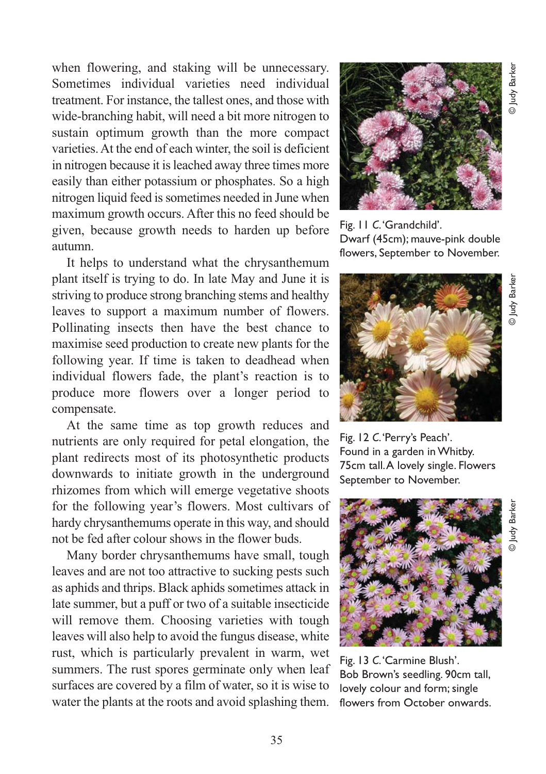when flowering, and staking will be unnecessary. Sometimes individual varieties need individual treatment. For instance, the tallest ones, and those with wide-branching habit, will need a bit more nitrogen to sustain optimum growth than the more compact varieties. At the end of each winter, the soil is deficient in nitrogen because it is leached away three times more easily than either potassium or phosphates. So a high nitrogen liquid feed is sometimes needed in June when maximum growth occurs. After this no feed should be given, because growth needs to harden up before autumn.

It helps to understand what the chrysanthemum plant itself is trying to do. In late May and June it is striving to produce strong branching stems and healthy leaves to support a maximum number of flowers. Pollinating insects then have the best chance to maximise seed production to create new plants for the following year. If time is taken to deadhead when individual flowers fade, the plant's reaction is to produce more flowers over a longer period to compensate.

At the same time as top growth reduces and nutrients are only required for petal elongation, the plant redirects most of its photosynthetic products downwards to initiate growth in the underground rhizomes from which will emerge vegetative shoots for the following year's flowers. Most cultivars of hardy chrysanthemums operate in this way, and should not be fed after colour shows in the flower buds.

Many border chrysanthemums have small, tough leaves and are not too attractive to sucking pests such as aphids and thrips. Black aphids sometimes attack in late summer, but a puff or two of a suitable insecticide will remove them. Choosing varieties with tough leaves will also help to avoid the fungus disease, white rust, which is particularly prevalent in warm, wet summers. The rust spores germinate only when leaf surfaces are covered by a film of water, so it is wise to water the plants at the roots and avoid splashing them.



Fig. 11 *C*. 'Grandchild'. Dwarf (45cm); mauve-pink double flowers, September to November.



Fig. 12 *C*. 'Perry's Peach'. Found in a garden in Whitby. 75cm tall. A lovely single. Flowers September to November.



Fig. 13 *C*. 'Carmine Blush'. Bob Brown's seedling. 90cm tall, lovely colour and form; single flowers from October onwards.

© Judy Barker